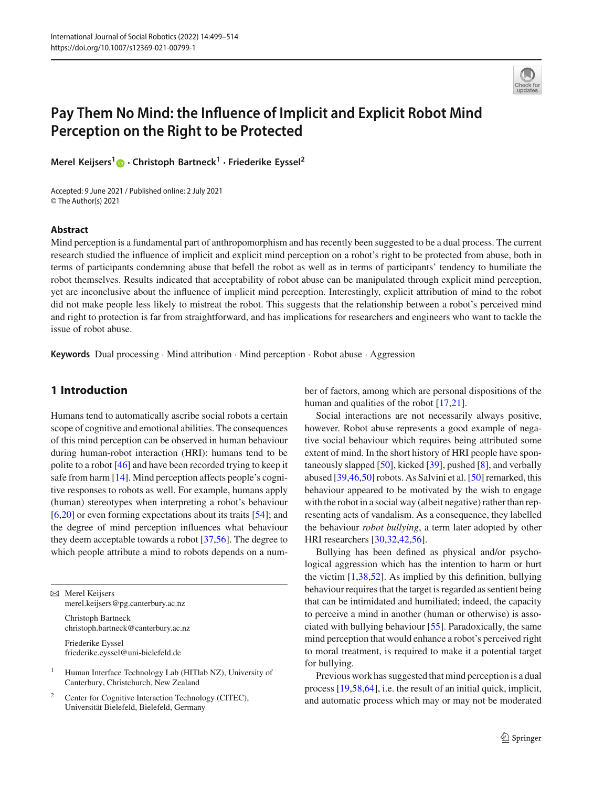

# **Pay Them No Mind: the Influence of Implicit and Explicit Robot Mind Perception on the Right to be Protected**

**Merel Keijsers[1](http://orcid.org/0000-0002-6554-6675) · Christoph Bartneck1 · Friederike Eyssel<sup>2</sup>**

Accepted: 9 June 2021 / Published online: 2 July 2021 © The Author(s) 2021

### **Abstract**

Mind perception is a fundamental part of anthropomorphism and has recently been suggested to be a dual process. The current research studied the influence of implicit and explicit mind perception on a robot's right to be protected from abuse, both in terms of participants condemning abuse that befell the robot as well as in terms of participants' tendency to humiliate the robot themselves. Results indicated that acceptability of robot abuse can be manipulated through explicit mind perception, yet are inconclusive about the influence of implicit mind perception. Interestingly, explicit attribution of mind to the robot did not make people less likely to mistreat the robot. This suggests that the relationship between a robot's perceived mind and right to protection is far from straightforward, and has implications for researchers and engineers who want to tackle the issue of robot abuse.

**Keywords** Dual processing · Mind attribution · Mind perception · Robot abuse · Aggression

# **1 Introduction**

Humans tend to automatically ascribe social robots a certain scope of cognitive and emotional abilities. The consequences of this mind perception can be observed in human behaviour during human-robot interaction (HRI): humans tend to be polite to a robot [\[46\]](#page-14-0) and have been recorded trying to keep it safe from harm [\[14\]](#page-13-0). Mind perception affects people's cognitive responses to robots as well. For example, humans apply (human) stereotypes when interpreting a robot's behaviour [\[6](#page-12-0)[,20\]](#page-13-1) or even forming expectations about its traits [\[54](#page-14-1)]; and the degree of mind perception influences what behaviour they deem acceptable towards a robot [\[37](#page-13-2)[,56](#page-14-2)]. The degree to which people attribute a mind to robots depends on a num-

 $\boxtimes$  Merel Keijsers merel.keijsers@pg.canterbury.ac.nz

> Christoph Bartneck christoph.bartneck@canterbury.ac.nz

Friederike Eyssel friederike.eyssel@uni-bielefeld.de

<sup>1</sup> Human Interface Technology Lab (HITlab NZ), University of Canterbury, Christchurch, New Zealand

<sup>2</sup> Center for Cognitive Interaction Technology (CITEC), Universität Bielefeld, Bielefeld, Germany

ber of factors, among which are personal dispositions of the human and qualities of the robot [\[17](#page-13-3)[,21\]](#page-13-4).

Social interactions are not necessarily always positive, however. Robot abuse represents a good example of negative social behaviour which requires being attributed some extent of mind. In the short history of HRI people have spontaneously slapped  $[50]$ , kicked  $[39]$  $[39]$ , pushed  $[8]$ , and verbally abused [\[39](#page-13-5)[,46](#page-14-0)[,50](#page-14-3)] robots. As Salvini et al. [\[50](#page-14-3)] remarked, this behaviour appeared to be motivated by the wish to engage with the robot in a social way (albeit negative) rather than representing acts of vandalism. As a consequence, they labelled the behaviour *robot bullying*, a term later adopted by other HRI researchers [\[30](#page-13-7)[,32](#page-13-8)[,42](#page-14-4)[,56\]](#page-14-2).

Bullying has been defined as physical and/or psychological aggression which has the intention to harm or hurt the victim  $[1,38,52]$  $[1,38,52]$  $[1,38,52]$  $[1,38,52]$ . As implied by this definition, bullying behaviour requires that the target is regarded as sentient being that can be intimidated and humiliated; indeed, the capacity to perceive a mind in another (human or otherwise) is associated with bullying behaviour [\[55\]](#page-14-6). Paradoxically, the same mind perception that would enhance a robot's perceived right to moral treatment, is required to make it a potential target for bullying.

Previous work has suggested that mind perception is a dual process [\[19](#page-13-10)[,58](#page-14-7)[,64](#page-14-8)], i.e. the result of an initial quick, implicit, and automatic process which may or may not be moderated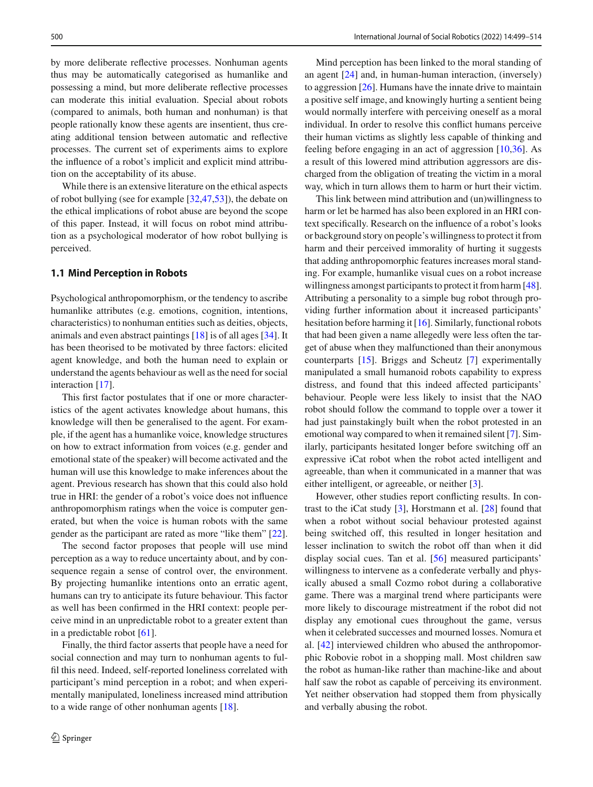by more deliberate reflective processes. Nonhuman agents thus may be automatically categorised as humanlike and possessing a mind, but more deliberate reflective processes can moderate this initial evaluation. Special about robots (compared to animals, both human and nonhuman) is that people rationally know these agents are insentient, thus creating additional tension between automatic and reflective processes. The current set of experiments aims to explore the influence of a robot's implicit and explicit mind attribution on the acceptability of its abuse.

While there is an extensive literature on the ethical aspects of robot bullying (see for example [\[32](#page-13-8)[,47](#page-14-9)[,53\]](#page-14-10)), the debate on the ethical implications of robot abuse are beyond the scope of this paper. Instead, it will focus on robot mind attribution as a psychological moderator of how robot bullying is perceived.

## **1.1 Mind Perception in Robots**

Psychological anthropomorphism, or the tendency to ascribe humanlike attributes (e.g. emotions, cognition, intentions, characteristics) to nonhuman entities such as deities, objects, animals and even abstract paintings [\[18\]](#page-13-11) is of all ages [\[34](#page-13-12)]. It has been theorised to be motivated by three factors: elicited agent knowledge, and both the human need to explain or understand the agents behaviour as well as the need for social interaction [\[17](#page-13-3)].

This first factor postulates that if one or more characteristics of the agent activates knowledge about humans, this knowledge will then be generalised to the agent. For example, if the agent has a humanlike voice, knowledge structures on how to extract information from voices (e.g. gender and emotional state of the speaker) will become activated and the human will use this knowledge to make inferences about the agent. Previous research has shown that this could also hold true in HRI: the gender of a robot's voice does not influence anthropomorphism ratings when the voice is computer generated, but when the voice is human robots with the same gender as the participant are rated as more "like them" [\[22](#page-13-13)].

The second factor proposes that people will use mind perception as a way to reduce uncertainty about, and by consequence regain a sense of control over, the environment. By projecting humanlike intentions onto an erratic agent, humans can try to anticipate its future behaviour. This factor as well has been confirmed in the HRI context: people perceive mind in an unpredictable robot to a greater extent than in a predictable robot [\[61\]](#page-14-11).

Finally, the third factor asserts that people have a need for social connection and may turn to nonhuman agents to fulfil this need. Indeed, self-reported loneliness correlated with participant's mind perception in a robot; and when experimentally manipulated, loneliness increased mind attribution to a wide range of other nonhuman agents [\[18](#page-13-11)].

Mind perception has been linked to the moral standing of an agent [\[24](#page-13-14)] and, in human-human interaction, (inversely) to aggression [\[26\]](#page-13-15). Humans have the innate drive to maintain a positive self image, and knowingly hurting a sentient being would normally interfere with perceiving oneself as a moral individual. In order to resolve this conflict humans perceive their human victims as slightly less capable of thinking and feeling before engaging in an act of aggression [\[10](#page-13-16)[,36](#page-13-17)]. As a result of this lowered mind attribution aggressors are discharged from the obligation of treating the victim in a moral way, which in turn allows them to harm or hurt their victim.

This link between mind attribution and (un)willingness to harm or let be harmed has also been explored in an HRI context specifically. Research on the influence of a robot's looks or background story on people's willingness to protect it from harm and their perceived immorality of hurting it suggests that adding anthropomorphic features increases moral standing. For example, humanlike visual cues on a robot increase willingness amongst participants to protect it from harm [\[48](#page-14-12)]. Attributing a personality to a simple bug robot through providing further information about it increased participants' hesitation before harming it [\[16](#page-13-18)]. Similarly, functional robots that had been given a name allegedly were less often the target of abuse when they malfunctioned than their anonymous counterparts [\[15](#page-13-19)]. Briggs and Scheutz [\[7\]](#page-13-20) experimentally manipulated a small humanoid robots capability to express distress, and found that this indeed affected participants' behaviour. People were less likely to insist that the NAO robot should follow the command to topple over a tower it had just painstakingly built when the robot protested in an emotional way compared to when it remained silent [\[7](#page-13-20)]. Similarly, participants hesitated longer before switching off an expressive iCat robot when the robot acted intelligent and agreeable, than when it communicated in a manner that was either intelligent, or agreeable, or neither [\[3\]](#page-12-2).

However, other studies report conflicting results. In contrast to the iCat study [\[3\]](#page-12-2), Horstmann et al. [\[28\]](#page-13-21) found that when a robot without social behaviour protested against being switched off, this resulted in longer hesitation and lesser inclination to switch the robot off than when it did display social cues. Tan et al. [\[56\]](#page-14-2) measured participants' willingness to intervene as a confederate verbally and physically abused a small Cozmo robot during a collaborative game. There was a marginal trend where participants were more likely to discourage mistreatment if the robot did not display any emotional cues throughout the game, versus when it celebrated successes and mourned losses. Nomura et al. [\[42](#page-14-4)] interviewed children who abused the anthropomorphic Robovie robot in a shopping mall. Most children saw the robot as human-like rather than machine-like and about half saw the robot as capable of perceiving its environment. Yet neither observation had stopped them from physically and verbally abusing the robot.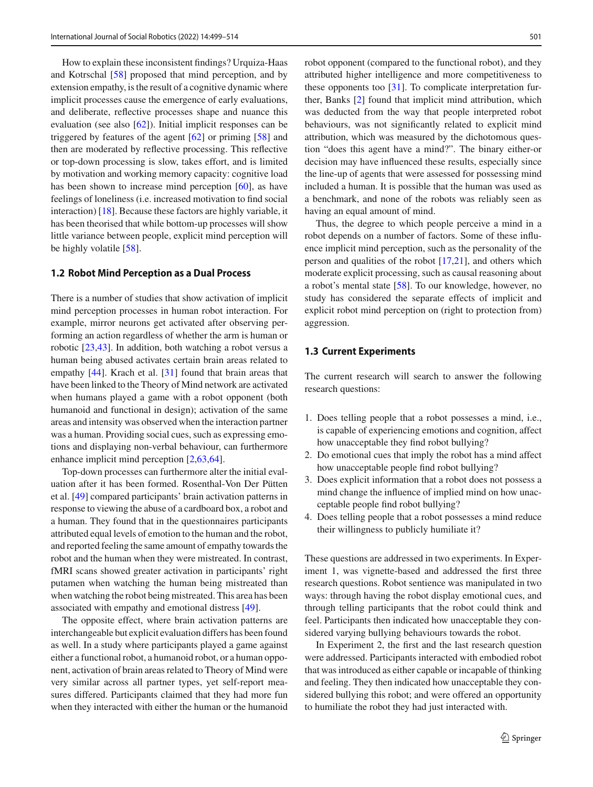How to explain these inconsistent findings? Urquiza-Haas and Kotrschal [\[58](#page-14-7)] proposed that mind perception, and by extension empathy, is the result of a cognitive dynamic where implicit processes cause the emergence of early evaluations, and deliberate, reflective processes shape and nuance this evaluation (see also [\[62](#page-14-13)]). Initial implicit responses can be triggered by features of the agent [\[62\]](#page-14-13) or priming [\[58](#page-14-7)] and then are moderated by reflective processing. This reflective or top-down processing is slow, takes effort, and is limited by motivation and working memory capacity: cognitive load has been shown to increase mind perception [\[60\]](#page-14-14), as have feelings of loneliness (i.e. increased motivation to find social interaction) [\[18](#page-13-11)]. Because these factors are highly variable, it has been theorised that while bottom-up processes will show little variance between people, explicit mind perception will be highly volatile [\[58](#page-14-7)].

## **1.2 Robot Mind Perception as a Dual Process**

There is a number of studies that show activation of implicit mind perception processes in human robot interaction. For example, mirror neurons get activated after observing performing an action regardless of whether the arm is human or robotic [\[23](#page-13-22)[,43\]](#page-14-15). In addition, both watching a robot versus a human being abused activates certain brain areas related to empathy [\[44\]](#page-14-16). Krach et al. [\[31](#page-13-23)] found that brain areas that have been linked to the Theory of Mind network are activated when humans played a game with a robot opponent (both humanoid and functional in design); activation of the same areas and intensity was observed when the interaction partner was a human. Providing social cues, such as expressing emotions and displaying non-verbal behaviour, can furthermore enhance implicit mind perception [\[2](#page-12-3)[,63](#page-14-17)[,64](#page-14-8)].

Top-down processes can furthermore alter the initial evaluation after it has been formed. Rosenthal-Von Der Pütten et al. [\[49](#page-14-18)] compared participants' brain activation patterns in response to viewing the abuse of a cardboard box, a robot and a human. They found that in the questionnaires participants attributed equal levels of emotion to the human and the robot, and reported feeling the same amount of empathy towards the robot and the human when they were mistreated. In contrast, fMRI scans showed greater activation in participants' right putamen when watching the human being mistreated than when watching the robot being mistreated. This area has been associated with empathy and emotional distress [\[49](#page-14-18)].

The opposite effect, where brain activation patterns are interchangeable but explicit evaluation differs has been found as well. In a study where participants played a game against either a functional robot, a humanoid robot, or a human opponent, activation of brain areas related to Theory of Mind were very similar across all partner types, yet self-report measures differed. Participants claimed that they had more fun when they interacted with either the human or the humanoid robot opponent (compared to the functional robot), and they attributed higher intelligence and more competitiveness to these opponents too [\[31](#page-13-23)]. To complicate interpretation further, Banks [\[2](#page-12-3)] found that implicit mind attribution, which was deducted from the way that people interpreted robot behaviours, was not significantly related to explicit mind attribution, which was measured by the dichotomous question "does this agent have a mind?". The binary either-or decision may have influenced these results, especially since the line-up of agents that were assessed for possessing mind included a human. It is possible that the human was used as a benchmark, and none of the robots was reliably seen as having an equal amount of mind.

Thus, the degree to which people perceive a mind in a robot depends on a number of factors. Some of these influence implicit mind perception, such as the personality of the person and qualities of the robot [\[17](#page-13-3)[,21](#page-13-4)], and others which moderate explicit processing, such as causal reasoning about a robot's mental state [\[58\]](#page-14-7). To our knowledge, however, no study has considered the separate effects of implicit and explicit robot mind perception on (right to protection from) aggression.

# **1.3 Current Experiments**

The current research will search to answer the following research questions:

- 1. Does telling people that a robot possesses a mind, i.e., is capable of experiencing emotions and cognition, affect how unacceptable they find robot bullying?
- 2. Do emotional cues that imply the robot has a mind affect how unacceptable people find robot bullying?
- 3. Does explicit information that a robot does not possess a mind change the influence of implied mind on how unacceptable people find robot bullying?
- 4. Does telling people that a robot possesses a mind reduce their willingness to publicly humiliate it?

These questions are addressed in two experiments. In Experiment 1, was vignette-based and addressed the first three research questions. Robot sentience was manipulated in two ways: through having the robot display emotional cues, and through telling participants that the robot could think and feel. Participants then indicated how unacceptable they considered varying bullying behaviours towards the robot.

In Experiment 2, the first and the last research question were addressed. Participants interacted with embodied robot that was introduced as either capable or incapable of thinking and feeling. They then indicated how unacceptable they considered bullying this robot; and were offered an opportunity to humiliate the robot they had just interacted with.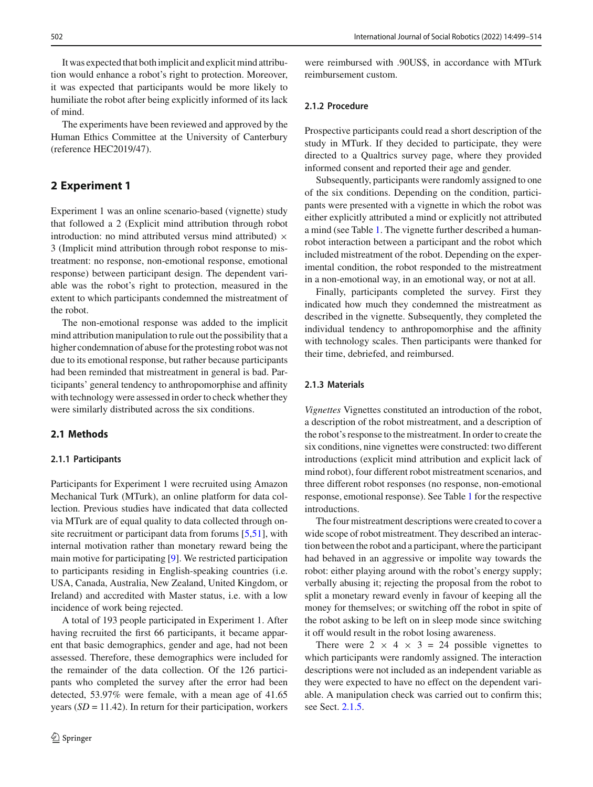It was expected that both implicit and explicit mind attribution would enhance a robot's right to protection. Moreover, it was expected that participants would be more likely to humiliate the robot after being explicitly informed of its lack of mind.

The experiments have been reviewed and approved by the Human Ethics Committee at the University of Canterbury (reference HEC2019/47).

# **2 Experiment 1**

Experiment 1 was an online scenario-based (vignette) study that followed a 2 (Explicit mind attribution through robot introduction: no mind attributed versus mind attributed)  $\times$ 3 (Implicit mind attribution through robot response to mistreatment: no response, non-emotional response, emotional response) between participant design. The dependent variable was the robot's right to protection, measured in the extent to which participants condemned the mistreatment of the robot.

The non-emotional response was added to the implicit mind attribution manipulation to rule out the possibility that a higher condemnation of abuse for the protesting robot was not due to its emotional response, but rather because participants had been reminded that mistreatment in general is bad. Participants' general tendency to anthropomorphise and affinity with technology were assessed in order to check whether they were similarly distributed across the six conditions.

## **2.1 Methods**

#### **2.1.1 Participants**

Participants for Experiment 1 were recruited using Amazon Mechanical Turk (MTurk), an online platform for data collection. Previous studies have indicated that data collected via MTurk are of equal quality to data collected through onsite recruitment or participant data from forums [\[5](#page-12-4)[,51](#page-14-19)], with internal motivation rather than monetary reward being the main motive for participating [\[9\]](#page-13-24). We restricted participation to participants residing in English-speaking countries (i.e. USA, Canada, Australia, New Zealand, United Kingdom, or Ireland) and accredited with Master status, i.e. with a low incidence of work being rejected.

A total of 193 people participated in Experiment 1. After having recruited the first 66 participants, it became apparent that basic demographics, gender and age, had not been assessed. Therefore, these demographics were included for the remainder of the data collection. Of the 126 participants who completed the survey after the error had been detected, 53.97% were female, with a mean age of 41.65 years (*SD* = 11.42). In return for their participation, workers

were reimbursed with .90US\$, in accordance with MTurk reimbursement custom.

#### **2.1.2 Procedure**

Prospective participants could read a short description of the study in MTurk. If they decided to participate, they were directed to a Qualtrics survey page, where they provided informed consent and reported their age and gender.

Subsequently, participants were randomly assigned to one of the six conditions. Depending on the condition, participants were presented with a vignette in which the robot was either explicitly attributed a mind or explicitly not attributed a mind (see Table [1.](#page-4-0) The vignette further described a humanrobot interaction between a participant and the robot which included mistreatment of the robot. Depending on the experimental condition, the robot responded to the mistreatment in a non-emotional way, in an emotional way, or not at all.

Finally, participants completed the survey. First they indicated how much they condemned the mistreatment as described in the vignette. Subsequently, they completed the individual tendency to anthropomorphise and the affinity with technology scales. Then participants were thanked for their time, debriefed, and reimbursed.

## **2.1.3 Materials**

*Vignettes* Vignettes constituted an introduction of the robot, a description of the robot mistreatment, and a description of the robot's response to the mistreatment. In order to create the six conditions, nine vignettes were constructed: two different introductions (explicit mind attribution and explicit lack of mind robot), four different robot mistreatment scenarios, and three different robot responses (no response, non-emotional response, emotional response). See Table [1](#page-4-0) for the respective introductions.

The four mistreatment descriptions were created to cover a wide scope of robot mistreatment. They described an interaction between the robot and a participant, where the participant had behaved in an aggressive or impolite way towards the robot: either playing around with the robot's energy supply; verbally abusing it; rejecting the proposal from the robot to split a monetary reward evenly in favour of keeping all the money for themselves; or switching off the robot in spite of the robot asking to be left on in sleep mode since switching it off would result in the robot losing awareness.

There were  $2 \times 4 \times 3 = 24$  possible vignettes to which participants were randomly assigned. The interaction descriptions were not included as an independent variable as they were expected to have no effect on the dependent variable. A manipulation check was carried out to confirm this; see Sect. [2.1.5.](#page-4-1)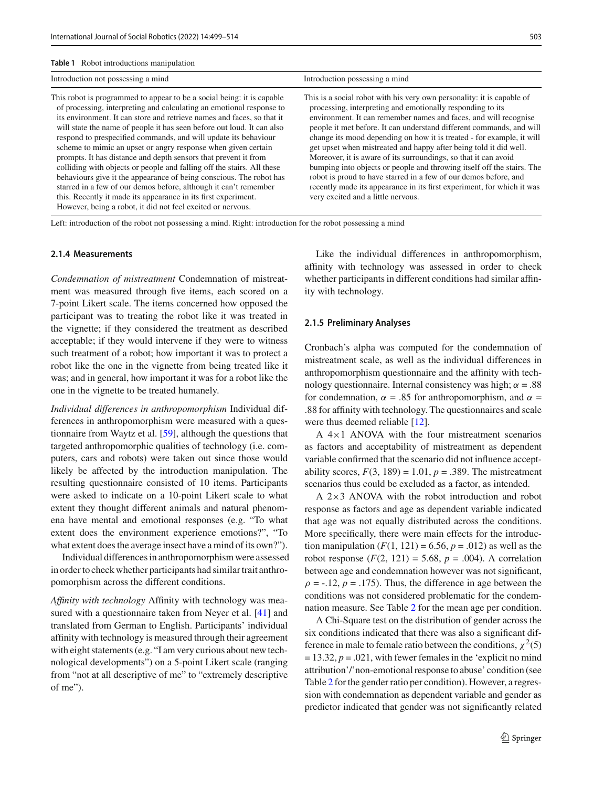<span id="page-4-0"></span>

| Introduction not possessing a mind                                                                                                                                                                                                                                                                                                                                                                                                                                                                                                                                                                                                                                                                                                                                                                                                                              | Introduction possessing a mind                                                                                                                                                                                                                                                                                                                                                                                                                                                                                                                                                                                                                                                                                                                                  |
|-----------------------------------------------------------------------------------------------------------------------------------------------------------------------------------------------------------------------------------------------------------------------------------------------------------------------------------------------------------------------------------------------------------------------------------------------------------------------------------------------------------------------------------------------------------------------------------------------------------------------------------------------------------------------------------------------------------------------------------------------------------------------------------------------------------------------------------------------------------------|-----------------------------------------------------------------------------------------------------------------------------------------------------------------------------------------------------------------------------------------------------------------------------------------------------------------------------------------------------------------------------------------------------------------------------------------------------------------------------------------------------------------------------------------------------------------------------------------------------------------------------------------------------------------------------------------------------------------------------------------------------------------|
| This robot is programmed to appear to be a social being: it is capable<br>of processing, interpreting and calculating an emotional response to<br>its environment. It can store and retrieve names and faces, so that it<br>will state the name of people it has seen before out loud. It can also<br>respond to prespecified commands, and will update its behaviour<br>scheme to mimic an upset or angry response when given certain<br>prompts. It has distance and depth sensors that prevent it from<br>colliding with objects or people and falling off the stairs. All these<br>behaviours give it the appearance of being conscious. The robot has<br>starred in a few of our demos before, although it can't remember<br>this. Recently it made its appearance in its first experiment.<br>However, being a robot, it did not feel excited or nervous. | This is a social robot with his very own personality: it is capable of<br>processing, interpreting and emotionally responding to its<br>environment. It can remember names and faces, and will recognise<br>people it met before. It can understand different commands, and will<br>change its mood depending on how it is treated - for example, it will<br>get upset when mistreated and happy after being told it did well.<br>Moreover, it is aware of its surroundings, so that it can avoid<br>bumping into objects or people and throwing itself off the stairs. The<br>robot is proud to have starred in a few of our demos before, and<br>recently made its appearance in its first experiment, for which it was<br>very excited and a little nervous. |

Left: introduction of the robot not possessing a mind. Right: introduction for the robot possessing a mind

#### **2.1.4 Measurements**

*Condemnation of mistreatment* Condemnation of mistreatment was measured through five items, each scored on a 7-point Likert scale. The items concerned how opposed the participant was to treating the robot like it was treated in the vignette; if they considered the treatment as described acceptable; if they would intervene if they were to witness such treatment of a robot; how important it was to protect a robot like the one in the vignette from being treated like it was; and in general, how important it was for a robot like the one in the vignette to be treated humanely.

*Individual differences in anthropomorphism* Individual differences in anthropomorphism were measured with a questionnaire from Waytz et al. [\[59\]](#page-14-20), although the questions that targeted anthropomorphic qualities of technology (i.e. computers, cars and robots) were taken out since those would likely be affected by the introduction manipulation. The resulting questionnaire consisted of 10 items. Participants were asked to indicate on a 10-point Likert scale to what extent they thought different animals and natural phenomena have mental and emotional responses (e.g. "To what extent does the environment experience emotions?", "To what extent does the average insect have a mind of its own?").

Individual differences in anthropomorphism were assessed in order to check whether participants had similar trait anthropomorphism across the different conditions.

*Affinity with technology* Affinity with technology was measured with a questionnaire taken from Neyer et al. [\[41\]](#page-14-21) and translated from German to English. Participants' individual affinity with technology is measured through their agreement with eight statements (e.g. "I am very curious about new technological developments") on a 5-point Likert scale (ranging from "not at all descriptive of me" to "extremely descriptive of me").

Like the individual differences in anthropomorphism, affinity with technology was assessed in order to check whether participants in different conditions had similar affinity with technology.

#### <span id="page-4-1"></span>**2.1.5 Preliminary Analyses**

Cronbach's alpha was computed for the condemnation of mistreatment scale, as well as the individual differences in anthropomorphism questionnaire and the affinity with technology questionnaire. Internal consistency was high;  $\alpha = .88$ for condemnation,  $\alpha = .85$  for anthropomorphism, and  $\alpha =$ .88 for affinity with technology. The questionnaires and scale were thus deemed reliable [\[12](#page-13-25)].

A  $4\times1$  ANOVA with the four mistreatment scenarios as factors and acceptability of mistreatment as dependent variable confirmed that the scenario did not influence acceptability scores,  $F(3, 189) = 1.01$ ,  $p = .389$ . The mistreatment scenarios thus could be excluded as a factor, as intended.

A 2×3 ANOVA with the robot introduction and robot response as factors and age as dependent variable indicated that age was not equally distributed across the conditions. More specifically, there were main effects for the introduction manipulation  $(F(1, 121) = 6.56, p = .012)$  as well as the robot response  $(F(2, 121) = 5.68, p = .004)$ . A correlation between age and condemnation however was not significant,  $\rho = -.12$ ,  $p = .175$ ). Thus, the difference in age between the conditions was not considered problematic for the condemnation measure. See Table [2](#page-5-0) for the mean age per condition.

A Chi-Square test on the distribution of gender across the six conditions indicated that there was also a significant difference in male to female ratio between the conditions,  $\chi^2(5)$  $= 13.32, p = .021$ , with fewer females in the 'explicit no mind attribution'/'non-emotional response to abuse' condition (see Table [2](#page-5-0) for the gender ratio per condition). However, a regression with condemnation as dependent variable and gender as predictor indicated that gender was not significantly related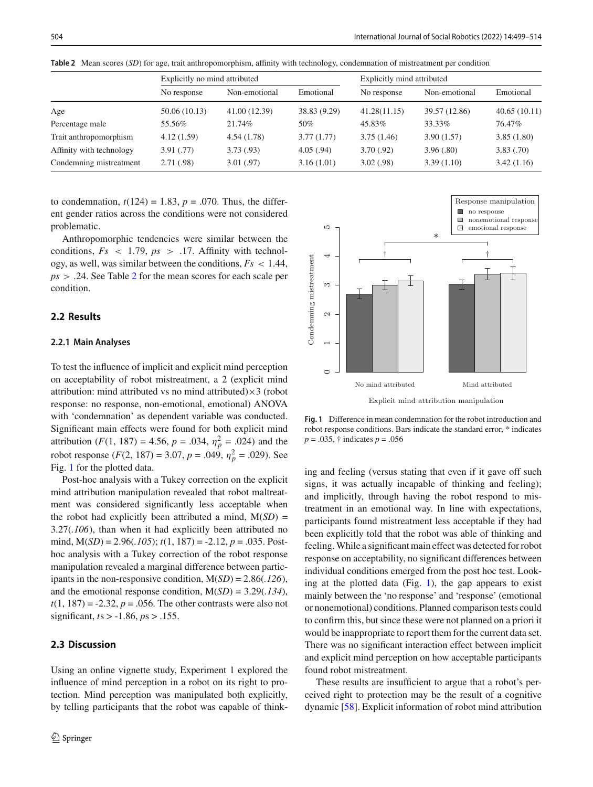<span id="page-5-0"></span>

|                          | Explicitly no mind attributed |               | Explicitly mind attributed |              |               |              |
|--------------------------|-------------------------------|---------------|----------------------------|--------------|---------------|--------------|
|                          | No response                   | Non-emotional | Emotional                  | No response  | Non-emotional | Emotional    |
| Age                      | 50.06 (10.13)                 | 41.00 (12.39) | 38.83 (9.29)               | 41.28(11.15) | 39.57 (12.86) | 40.65(10.11) |
| Percentage male          | 55.56%                        | 21.74%        | 50%                        | 45.83%       | 33.33%        | 76.47%       |
| Trait anthropomorphism   | 4.12(1.59)                    | 4.54(1.78)    | 3.77(1.77)                 | 3.75(1.46)   | 3.90(1.57)    | 3.85(1.80)   |
| Affinity with technology | 3.91(.77)                     | 3.73(0.93)    | 4.05(.94)                  | 3.70(.92)    | 3.96(.80)     | 3.83(.70)    |
| Condemning mistreatment  | 2.71(0.98)                    | 3.01(.97)     | 3.16(1.01)                 | 3.02(.98)    | 3.39(1.10)    | 3.42(1.16)   |

**Table 2** Mean scores (*SD*) for age, trait anthropomorphism, affinity with technology, condemnation of mistreatment per condition

to condemnation,  $t(124) = 1.83$ ,  $p = .070$ . Thus, the different gender ratios across the conditions were not considered problematic.

Anthropomorphic tendencies were similar between the conditions,  $Fs \leq 1.79$ ,  $ps \geq .17$ . Affinity with technology, as well, was similar between the conditions, *Fs* < 1.44, *ps* > .24. See Table [2](#page-5-0) for the mean scores for each scale per condition.

### **2.2 Results**

#### **2.2.1 Main Analyses**

To test the influence of implicit and explicit mind perception on acceptability of robot mistreatment, a 2 (explicit mind attribution: mind attributed vs no mind attributed) $\times$ 3 (robot response: no response, non-emotional, emotional) ANOVA with 'condemnation' as dependent variable was conducted. Significant main effects were found for both explicit mind attribution (*F*(1, 187) = 4.56,  $p = .034$ ,  $\eta_p^2 = .024$ ) and the robot response  $(F(2, 187) = 3.07, p = .049, \eta_p^2 = .029)$ . See Fig. [1](#page-5-1) for the plotted data.

Post-hoc analysis with a Tukey correction on the explicit mind attribution manipulation revealed that robot maltreatment was considered significantly less acceptable when the robot had explicitly been attributed a mind,  $M(SD) =$ 3.27(*.106*), than when it had explicitly been attributed no mind, M(*SD*) = 2.96(*.105*); *t*(1, 187) = -2.12, *p* = .035. Posthoc analysis with a Tukey correction of the robot response manipulation revealed a marginal difference between participants in the non-responsive condition, M(*SD*) = 2.86(*.126*), and the emotional response condition, M(*SD*) = 3.29(*.134*),  $t(1, 187) = -2.32$ ,  $p = .056$ . The other contrasts were also not significant, *t*s > -1.86, *p*s > .155.

# **2.3 Discussion**

Using an online vignette study, Experiment 1 explored the influence of mind perception in a robot on its right to protection. Mind perception was manipulated both explicitly, by telling participants that the robot was capable of think-



<span id="page-5-1"></span>**Fig. 1** Difference in mean condemnation for the robot introduction and robot response conditions. Bars indicate the standard error, \* indicates *p* = .035, † indicates *p* = .056

ing and feeling (versus stating that even if it gave off such signs, it was actually incapable of thinking and feeling); and implicitly, through having the robot respond to mistreatment in an emotional way. In line with expectations, participants found mistreatment less acceptable if they had been explicitly told that the robot was able of thinking and feeling. While a significant main effect was detected for robot response on acceptability, no significant differences between individual conditions emerged from the post hoc test. Looking at the plotted data (Fig. [1\)](#page-5-1), the gap appears to exist mainly between the 'no response' and 'response' (emotional or nonemotional) conditions. Planned comparison tests could to confirm this, but since these were not planned on a priori it would be inappropriate to report them for the current data set. There was no significant interaction effect between implicit and explicit mind perception on how acceptable participants found robot mistreatment.

These results are insufficient to argue that a robot's perceived right to protection may be the result of a cognitive dynamic [\[58\]](#page-14-7). Explicit information of robot mind attribution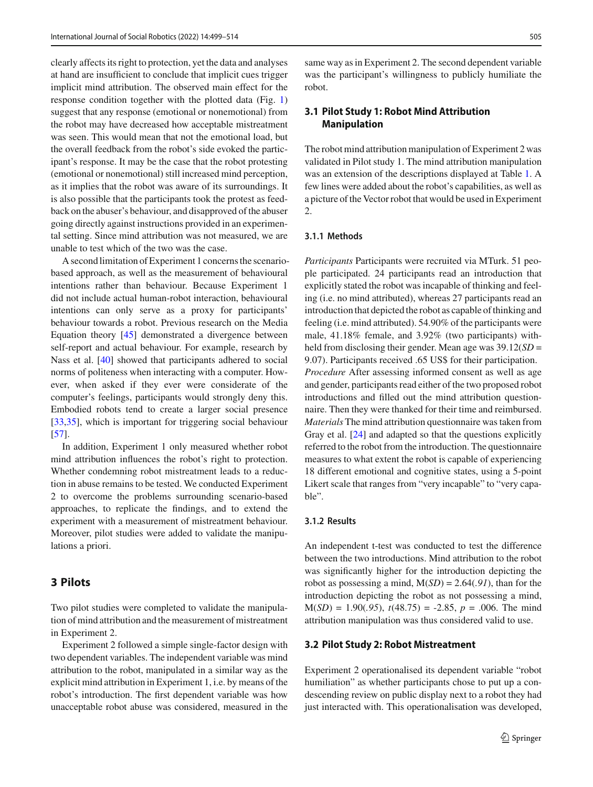clearly affects its right to protection, yet the data and analyses at hand are insufficient to conclude that implicit cues trigger implicit mind attribution. The observed main effect for the response condition together with the plotted data (Fig. [1\)](#page-5-1) suggest that any response (emotional or nonemotional) from the robot may have decreased how acceptable mistreatment was seen. This would mean that not the emotional load, but the overall feedback from the robot's side evoked the participant's response. It may be the case that the robot protesting (emotional or nonemotional) still increased mind perception, as it implies that the robot was aware of its surroundings. It is also possible that the participants took the protest as feedback on the abuser's behaviour, and disapproved of the abuser going directly against instructions provided in an experimental setting. Since mind attribution was not measured, we are unable to test which of the two was the case.

A second limitation of Experiment 1 concerns the scenariobased approach, as well as the measurement of behavioural intentions rather than behaviour. Because Experiment 1 did not include actual human-robot interaction, behavioural intentions can only serve as a proxy for participants' behaviour towards a robot. Previous research on the Media Equation theory [\[45](#page-14-22)] demonstrated a divergence between self-report and actual behaviour. For example, research by Nass et al. [\[40\]](#page-14-23) showed that participants adhered to social norms of politeness when interacting with a computer. However, when asked if they ever were considerate of the computer's feelings, participants would strongly deny this. Embodied robots tend to create a larger social presence [\[33](#page-13-26)[,35\]](#page-13-27), which is important for triggering social behaviour [\[57](#page-14-24)].

In addition, Experiment 1 only measured whether robot mind attribution influences the robot's right to protection. Whether condemning robot mistreatment leads to a reduction in abuse remains to be tested. We conducted Experiment 2 to overcome the problems surrounding scenario-based approaches, to replicate the findings, and to extend the experiment with a measurement of mistreatment behaviour. Moreover, pilot studies were added to validate the manipulations a priori.

## **3 Pilots**

Two pilot studies were completed to validate the manipulation of mind attribution and the measurement of mistreatment in Experiment 2.

Experiment 2 followed a simple single-factor design with two dependent variables. The independent variable was mind attribution to the robot, manipulated in a similar way as the explicit mind attribution in Experiment 1, i.e. by means of the robot's introduction. The first dependent variable was how unacceptable robot abuse was considered, measured in the same way as in Experiment 2. The second dependent variable was the participant's willingness to publicly humiliate the robot.

# <span id="page-6-0"></span>**3.1 Pilot Study 1: Robot Mind Attribution Manipulation**

The robot mind attribution manipulation of Experiment 2 was validated in Pilot study 1. The mind attribution manipulation was an extension of the descriptions displayed at Table [1.](#page-4-0) A few lines were added about the robot's capabilities, as well as a picture of the Vector robot that would be used in Experiment 2.

#### **3.1.1 Methods**

*Participants* Participants were recruited via MTurk. 51 people participated. 24 participants read an introduction that explicitly stated the robot was incapable of thinking and feeling (i.e. no mind attributed), whereas 27 participants read an introduction that depicted the robot as capable of thinking and feeling (i.e. mind attributed). 54.90% of the participants were male, 41.18% female, and 3.92% (two participants) withheld from disclosing their gender. Mean age was 39.12(*SD* = 9.07). Participants received .65 US\$ for their participation. *Procedure* After assessing informed consent as well as age and gender, participants read either of the two proposed robot introductions and filled out the mind attribution questionnaire. Then they were thanked for their time and reimbursed. *Materials* The mind attribution questionnaire was taken from Gray et al. [\[24\]](#page-13-14) and adapted so that the questions explicitly referred to the robot from the introduction. The questionnaire measures to what extent the robot is capable of experiencing 18 different emotional and cognitive states, using a 5-point Likert scale that ranges from "very incapable" to "very capable".

## **3.1.2 Results**

An independent t-test was conducted to test the difference between the two introductions. Mind attribution to the robot was significantly higher for the introduction depicting the robot as possessing a mind, M(*SD*) = 2.64(*.91*), than for the introduction depicting the robot as not possessing a mind,  $M(SD) = 1.90(.95), t(48.75) = -2.85, p = .006.$  The mind attribution manipulation was thus considered valid to use.

#### <span id="page-6-1"></span>**3.2 Pilot Study 2: Robot Mistreatment**

Experiment 2 operationalised its dependent variable "robot humiliation" as whether participants chose to put up a condescending review on public display next to a robot they had just interacted with. This operationalisation was developed,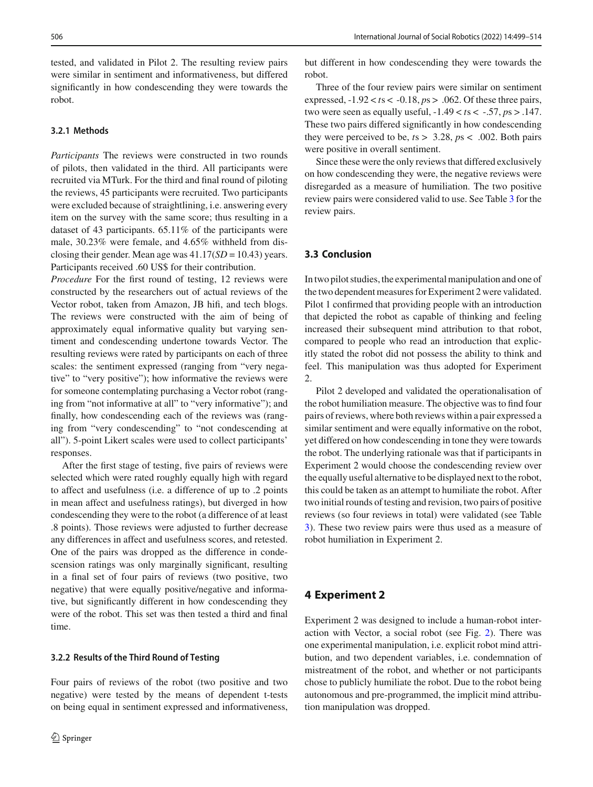tested, and validated in Pilot 2. The resulting review pairs were similar in sentiment and informativeness, but differed significantly in how condescending they were towards the robot.

#### **3.2.1 Methods**

*Participants* The reviews were constructed in two rounds of pilots, then validated in the third. All participants were recruited via MTurk. For the third and final round of piloting the reviews, 45 participants were recruited. Two participants were excluded because of straightlining, i.e. answering every item on the survey with the same score; thus resulting in a dataset of 43 participants. 65.11% of the participants were male, 30.23% were female, and 4.65% withheld from disclosing their gender. Mean age was 41.17(*SD* = 10.43) years. Participants received .60 US\$ for their contribution.

*Procedure* For the first round of testing, 12 reviews were constructed by the researchers out of actual reviews of the Vector robot, taken from Amazon, JB hifi, and tech blogs. The reviews were constructed with the aim of being of approximately equal informative quality but varying sentiment and condescending undertone towards Vector. The resulting reviews were rated by participants on each of three scales: the sentiment expressed (ranging from "very negative" to "very positive"); how informative the reviews were for someone contemplating purchasing a Vector robot (ranging from "not informative at all" to "very informative"); and finally, how condescending each of the reviews was (ranging from "very condescending" to "not condescending at all"). 5-point Likert scales were used to collect participants' responses.

After the first stage of testing, five pairs of reviews were selected which were rated roughly equally high with regard to affect and usefulness (i.e. a difference of up to .2 points in mean affect and usefulness ratings), but diverged in how condescending they were to the robot (a difference of at least .8 points). Those reviews were adjusted to further decrease any differences in affect and usefulness scores, and retested. One of the pairs was dropped as the difference in condescension ratings was only marginally significant, resulting in a final set of four pairs of reviews (two positive, two negative) that were equally positive/negative and informative, but significantly different in how condescending they were of the robot. This set was then tested a third and final time.

#### **3.2.2 Results of the Third Round of Testing**

Four pairs of reviews of the robot (two positive and two negative) were tested by the means of dependent t-tests on being equal in sentiment expressed and informativeness,

but different in how condescending they were towards the robot.

Three of the four review pairs were similar on sentiment expressed, -1.92 < *t*s < -0.18, *p*s > .062. Of these three pairs, two were seen as equally useful,  $-1.49 < ts < -0.57$ ,  $ps > 0.147$ . These two pairs differed significantly in how condescending they were perceived to be, *t*s > 3.28, *p*s < .002. Both pairs were positive in overall sentiment.

Since these were the only reviews that differed exclusively on how condescending they were, the negative reviews were disregarded as a measure of humiliation. The two positive review pairs were considered valid to use. See Table [3](#page-8-0) for the review pairs.

## **3.3 Conclusion**

In two pilot studies, the experimental manipulation and one of the two dependent measures for Experiment 2 were validated. Pilot 1 confirmed that providing people with an introduction that depicted the robot as capable of thinking and feeling increased their subsequent mind attribution to that robot, compared to people who read an introduction that explicitly stated the robot did not possess the ability to think and feel. This manipulation was thus adopted for Experiment 2.

Pilot 2 developed and validated the operationalisation of the robot humiliation measure. The objective was to find four pairs of reviews, where both reviews within a pair expressed a similar sentiment and were equally informative on the robot, yet differed on how condescending in tone they were towards the robot. The underlying rationale was that if participants in Experiment 2 would choose the condescending review over the equally useful alternative to be displayed next to the robot, this could be taken as an attempt to humiliate the robot. After two initial rounds of testing and revision, two pairs of positive reviews (so four reviews in total) were validated (see Table [3\)](#page-8-0). These two review pairs were thus used as a measure of robot humiliation in Experiment 2.

## **4 Experiment 2**

Experiment 2 was designed to include a human-robot interaction with Vector, a social robot (see Fig. [2\)](#page-8-1). There was one experimental manipulation, i.e. explicit robot mind attribution, and two dependent variables, i.e. condemnation of mistreatment of the robot, and whether or not participants chose to publicly humiliate the robot. Due to the robot being autonomous and pre-programmed, the implicit mind attribution manipulation was dropped.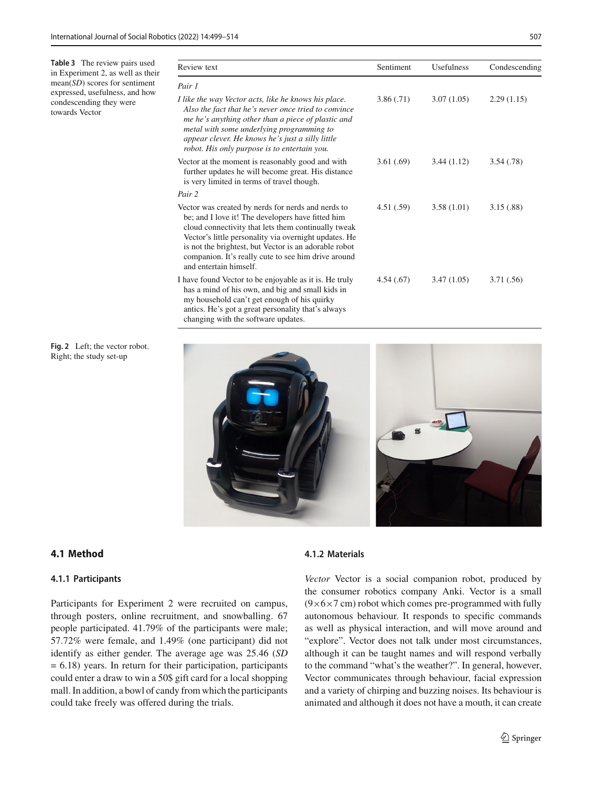<span id="page-8-0"></span>**Table 3** The review pairs used in Experiment 2, as well as their mean(*SD*) scores for sentiment expressed, usefulness, and how condescending they were towards Vector

| Review text                                                                                                                                                                                                                                                                                                                                                       | Sentiment | Usefulness | Condescending |
|-------------------------------------------------------------------------------------------------------------------------------------------------------------------------------------------------------------------------------------------------------------------------------------------------------------------------------------------------------------------|-----------|------------|---------------|
| Pair 1                                                                                                                                                                                                                                                                                                                                                            |           |            |               |
| I like the way Vector acts, like he knows his place.<br>Also the fact that he's never once tried to convince<br>me he's anything other than a piece of plastic and<br>metal with some underlying programming to<br>appear clever. He knows he's just a silly little<br>robot. His only purpose is to entertain you.                                               | 3.86(.71) | 3.07(1.05) | 2.29(1.15)    |
| Vector at the moment is reasonably good and with<br>further updates he will become great. His distance<br>is very limited in terms of travel though.                                                                                                                                                                                                              | 3.61(.69) | 3.44(1.12) | 3.54(.78)     |
| Pair 2                                                                                                                                                                                                                                                                                                                                                            |           |            |               |
| Vector was created by nerds for nerds and nerds to<br>be; and I love it! The developers have fitted him<br>cloud connectivity that lets them continually tweak<br>Vector's little personality via overnight updates. He<br>is not the brightest, but Vector is an adorable robot<br>companion. It's really cute to see him drive around<br>and entertain himself. | 4.51(.59) | 3.58(1.01) | 3.15(.88)     |
| I have found Vector to be enjoyable as it is. He truly<br>has a mind of his own, and big and small kids in<br>my household can't get enough of his quirky<br>antics. He's got a great personality that's always<br>changing with the software updates.                                                                                                            | 4.54(.67) | 3.47(1.05) | 3.71(.56)     |

<span id="page-8-1"></span>**Fig. 2** Left; the vector robot. Right; the study set-up



# **4.1 Method**

## **4.1.1 Participants**

Participants for Experiment 2 were recruited on campus, through posters, online recruitment, and snowballing. 67 people participated. 41.79% of the participants were male; 57.72% were female, and 1.49% (one participant) did not identify as either gender. The average age was 25.46 (*SD* = 6.18) years. In return for their participation, participants could enter a draw to win a 50\$ gift card for a local shopping mall. In addition, a bowl of candy from which the participants could take freely was offered during the trials.

## **4.1.2 Materials**

*Vector* Vector is a social companion robot, produced by the consumer robotics company Anki. Vector is a small  $(9\times6\times7$  cm) robot which comes pre-programmed with fully autonomous behaviour. It responds to specific commands as well as physical interaction, and will move around and "explore". Vector does not talk under most circumstances, although it can be taught names and will respond verbally to the command "what's the weather?". In general, however, Vector communicates through behaviour, facial expression and a variety of chirping and buzzing noises. Its behaviour is animated and although it does not have a mouth, it can create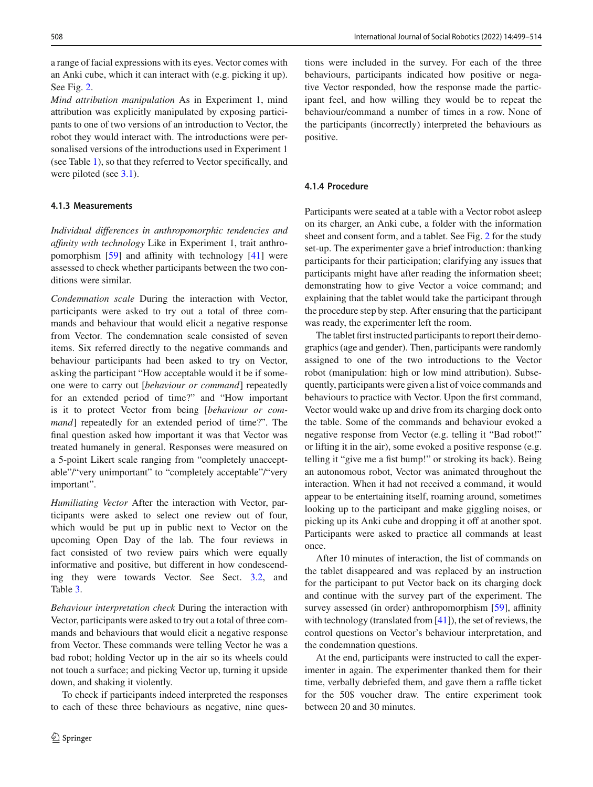a range of facial expressions with its eyes. Vector comes with an Anki cube, which it can interact with (e.g. picking it up). See Fig. [2.](#page-8-1)

*Mind attribution manipulation* As in Experiment 1, mind attribution was explicitly manipulated by exposing participants to one of two versions of an introduction to Vector, the robot they would interact with. The introductions were personalised versions of the introductions used in Experiment 1 (see Table [1\)](#page-4-0), so that they referred to Vector specifically, and were piloted (see [3.1\)](#page-6-0).

## **4.1.3 Measurements**

*Individual differences in anthropomorphic tendencies and affinity with technology* Like in Experiment 1, trait anthropomorphism [\[59](#page-14-20)] and affinity with technology [\[41](#page-14-21)] were assessed to check whether participants between the two conditions were similar.

*Condemnation scale* During the interaction with Vector, participants were asked to try out a total of three commands and behaviour that would elicit a negative response from Vector. The condemnation scale consisted of seven items. Six referred directly to the negative commands and behaviour participants had been asked to try on Vector, asking the participant "How acceptable would it be if someone were to carry out [*behaviour or command*] repeatedly for an extended period of time?" and "How important is it to protect Vector from being [*behaviour or command*] repeatedly for an extended period of time?". The final question asked how important it was that Vector was treated humanely in general. Responses were measured on a 5-point Likert scale ranging from "completely unacceptable"/"very unimportant" to "completely acceptable"/"very important".

*Humiliating Vector* After the interaction with Vector, participants were asked to select one review out of four, which would be put up in public next to Vector on the upcoming Open Day of the lab. The four reviews in fact consisted of two review pairs which were equally informative and positive, but different in how condescending they were towards Vector. See Sect. [3.2,](#page-6-1) and Table [3.](#page-8-0)

*Behaviour interpretation check* During the interaction with Vector, participants were asked to try out a total of three commands and behaviours that would elicit a negative response from Vector. These commands were telling Vector he was a bad robot; holding Vector up in the air so its wheels could not touch a surface; and picking Vector up, turning it upside down, and shaking it violently.

To check if participants indeed interpreted the responses to each of these three behaviours as negative, nine questions were included in the survey. For each of the three behaviours, participants indicated how positive or negative Vector responded, how the response made the participant feel, and how willing they would be to repeat the behaviour/command a number of times in a row. None of the participants (incorrectly) interpreted the behaviours as positive.

## **4.1.4 Procedure**

Participants were seated at a table with a Vector robot asleep on its charger, an Anki cube, a folder with the information sheet and consent form, and a tablet. See Fig. [2](#page-8-1) for the study set-up. The experimenter gave a brief introduction: thanking participants for their participation; clarifying any issues that participants might have after reading the information sheet; demonstrating how to give Vector a voice command; and explaining that the tablet would take the participant through the procedure step by step. After ensuring that the participant was ready, the experimenter left the room.

The tablet first instructed participants to report their demographics (age and gender). Then, participants were randomly assigned to one of the two introductions to the Vector robot (manipulation: high or low mind attribution). Subsequently, participants were given a list of voice commands and behaviours to practice with Vector. Upon the first command, Vector would wake up and drive from its charging dock onto the table. Some of the commands and behaviour evoked a negative response from Vector (e.g. telling it "Bad robot!" or lifting it in the air), some evoked a positive response (e.g. telling it "give me a fist bump!" or stroking its back). Being an autonomous robot, Vector was animated throughout the interaction. When it had not received a command, it would appear to be entertaining itself, roaming around, sometimes looking up to the participant and make giggling noises, or picking up its Anki cube and dropping it off at another spot. Participants were asked to practice all commands at least once.

After 10 minutes of interaction, the list of commands on the tablet disappeared and was replaced by an instruction for the participant to put Vector back on its charging dock and continue with the survey part of the experiment. The survey assessed (in order) anthropomorphism [\[59\]](#page-14-20), affinity with technology (translated from [\[41\]](#page-14-21)), the set of reviews, the control questions on Vector's behaviour interpretation, and the condemnation questions.

At the end, participants were instructed to call the experimenter in again. The experimenter thanked them for their time, verbally debriefed them, and gave them a raffle ticket for the 50\$ voucher draw. The entire experiment took between 20 and 30 minutes.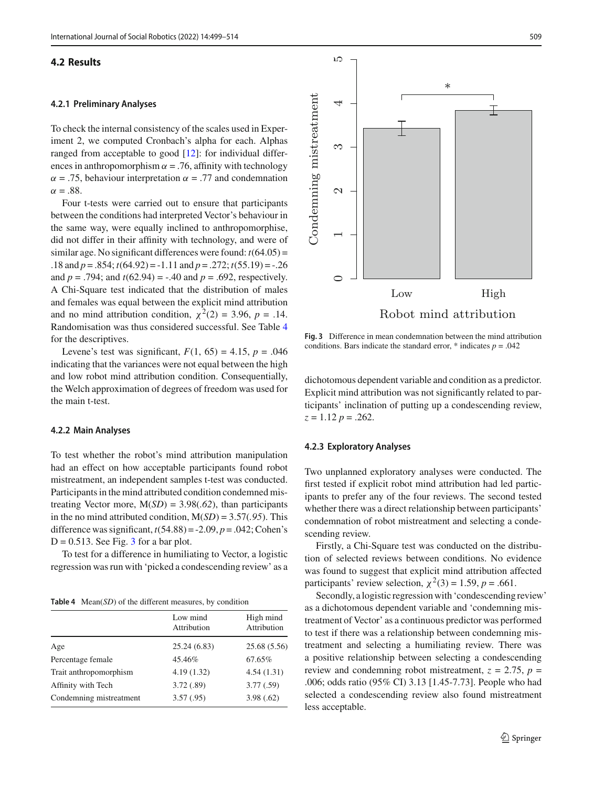#### **4.2 Results**

#### **4.2.1 Preliminary Analyses**

To check the internal consistency of the scales used in Experiment 2, we computed Cronbach's alpha for each. Alphas ranged from acceptable to good [\[12\]](#page-13-25): for individual differences in anthropomorphism  $\alpha = .76$ , affinity with technology  $\alpha = .75$ , behaviour interpretation  $\alpha = .77$  and condemnation  $\alpha = .88$ .

Four t-tests were carried out to ensure that participants between the conditions had interpreted Vector's behaviour in the same way, were equally inclined to anthropomorphise, did not differ in their affinity with technology, and were of similar age. No significant differences were found: *t*(64.05) = .18 and *p* = .854; *t*(64.92) = -1.11 and *p* = .272; *t*(55.19) = -.26 and  $p = .794$ ; and  $t(62.94) = -.40$  and  $p = .692$ , respectively. A Chi-Square test indicated that the distribution of males and females was equal between the explicit mind attribution and no mind attribution condition,  $\chi^2(2) = 3.96$ ,  $p = .14$ . Randomisation was thus considered successful. See Table [4](#page-10-0) for the descriptives.

Levene's test was significant,  $F(1, 65) = 4.15$ ,  $p = .046$ indicating that the variances were not equal between the high and low robot mind attribution condition. Consequentially, the Welch approximation of degrees of freedom was used for the main t-test.

#### **4.2.2 Main Analyses**

To test whether the robot's mind attribution manipulation had an effect on how acceptable participants found robot mistreatment, an independent samples t-test was conducted. Participants in the mind attributed condition condemned mistreating Vector more, M(*SD*) = 3.98(*.62*), than participants in the no mind attributed condition, M(*SD*) = 3.57(*.95*). This difference was significant,  $t(54.88) = -2.09$ ,  $p = .042$ ; Cohen's  $D = 0.513$  $D = 0.513$ . See Fig. 3 for a bar plot.

To test for a difference in humiliating to Vector, a logistic regression was run with 'picked a condescending review' as a

**Table 4** Mean(*SD*) of the different measures, by condition

<span id="page-10-0"></span>

|                         | Low mind<br>Attribution | High mind<br>Attribution |
|-------------------------|-------------------------|--------------------------|
| Age                     | 25.24 (6.83)            | 25.68 (5.56)             |
| Percentage female       | 45.46%                  | 67.65%                   |
| Trait anthropomorphism  | 4.19(1.32)              | 4.54(1.31)               |
| Affinity with Tech      | 3.72(.89)               | 3.77(.59)                |
| Condemning mistreatment | 3.57(.95)               | 3.98(.62)                |



<span id="page-10-1"></span>**Fig. 3** Difference in mean condemnation between the mind attribution conditions. Bars indicate the standard error,  $*$  indicates  $p = .042$ 

dichotomous dependent variable and condition as a predictor. Explicit mind attribution was not significantly related to participants' inclination of putting up a condescending review, *z* = 1.12 *p* = .262.

#### **4.2.3 Exploratory Analyses**

Two unplanned exploratory analyses were conducted. The first tested if explicit robot mind attribution had led participants to prefer any of the four reviews. The second tested whether there was a direct relationship between participants' condemnation of robot mistreatment and selecting a condescending review.

Firstly, a Chi-Square test was conducted on the distribution of selected reviews between conditions. No evidence was found to suggest that explicit mind attribution affected participants' review selection,  $\chi^2(3) = 1.59$ ,  $p = .661$ .

Secondly, a logistic regression with 'condescending review' as a dichotomous dependent variable and 'condemning mistreatment of Vector' as a continuous predictor was performed to test if there was a relationship between condemning mistreatment and selecting a humiliating review. There was a positive relationship between selecting a condescending review and condemning robot mistreatment,  $z = 2.75$ ,  $p =$ .006; odds ratio (95% CI) 3.13 [1.45-7.73]. People who had selected a condescending review also found mistreatment less acceptable.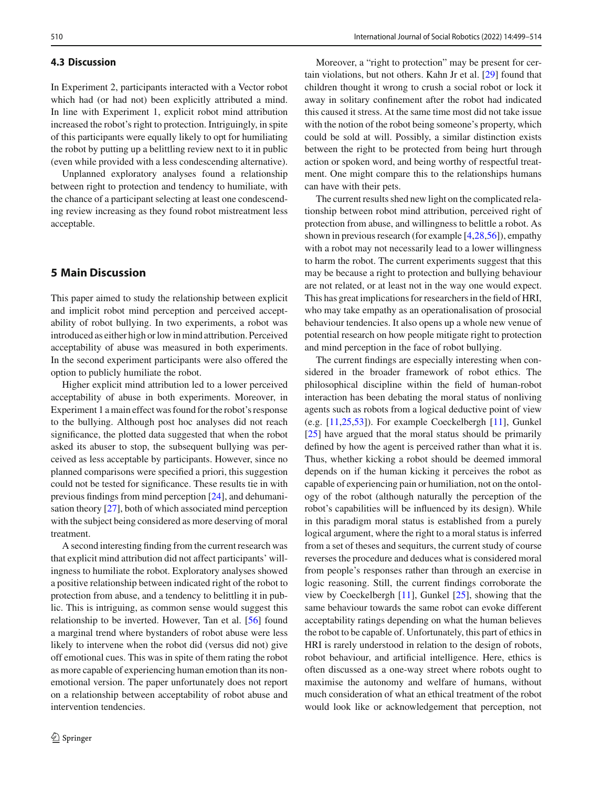#### **4.3 Discussion**

In Experiment 2, participants interacted with a Vector robot which had (or had not) been explicitly attributed a mind. In line with Experiment 1, explicit robot mind attribution increased the robot's right to protection. Intriguingly, in spite of this participants were equally likely to opt for humiliating the robot by putting up a belittling review next to it in public (even while provided with a less condescending alternative).

Unplanned exploratory analyses found a relationship between right to protection and tendency to humiliate, with the chance of a participant selecting at least one condescending review increasing as they found robot mistreatment less acceptable.

# **5 Main Discussion**

This paper aimed to study the relationship between explicit and implicit robot mind perception and perceived acceptability of robot bullying. In two experiments, a robot was introduced as either high or low in mind attribution. Perceived acceptability of abuse was measured in both experiments. In the second experiment participants were also offered the option to publicly humiliate the robot.

Higher explicit mind attribution led to a lower perceived acceptability of abuse in both experiments. Moreover, in Experiment 1 a main effect was found for the robot's response to the bullying. Although post hoc analyses did not reach significance, the plotted data suggested that when the robot asked its abuser to stop, the subsequent bullying was perceived as less acceptable by participants. However, since no planned comparisons were specified a priori, this suggestion could not be tested for significance. These results tie in with previous findings from mind perception [\[24](#page-13-14)], and dehumanisation theory [\[27\]](#page-13-28), both of which associated mind perception with the subject being considered as more deserving of moral treatment.

A second interesting finding from the current research was that explicit mind attribution did not affect participants' willingness to humiliate the robot. Exploratory analyses showed a positive relationship between indicated right of the robot to protection from abuse, and a tendency to belittling it in public. This is intriguing, as common sense would suggest this relationship to be inverted. However, Tan et al. [\[56](#page-14-2)] found a marginal trend where bystanders of robot abuse were less likely to intervene when the robot did (versus did not) give off emotional cues. This was in spite of them rating the robot as more capable of experiencing human emotion than its nonemotional version. The paper unfortunately does not report on a relationship between acceptability of robot abuse and intervention tendencies.

Moreover, a "right to protection" may be present for certain violations, but not others. Kahn Jr et al. [\[29\]](#page-13-29) found that children thought it wrong to crush a social robot or lock it away in solitary confinement after the robot had indicated this caused it stress. At the same time most did not take issue with the notion of the robot being someone's property, which could be sold at will. Possibly, a similar distinction exists between the right to be protected from being hurt through action or spoken word, and being worthy of respectful treatment. One might compare this to the relationships humans can have with their pets.

The current results shed new light on the complicated relationship between robot mind attribution, perceived right of protection from abuse, and willingness to belittle a robot. As shown in previous research (for example [\[4](#page-12-5)[,28](#page-13-21)[,56](#page-14-2)]), empathy with a robot may not necessarily lead to a lower willingness to harm the robot. The current experiments suggest that this may be because a right to protection and bullying behaviour are not related, or at least not in the way one would expect. This has great implications for researchers in the field of HRI, who may take empathy as an operationalisation of prosocial behaviour tendencies. It also opens up a whole new venue of potential research on how people mitigate right to protection and mind perception in the face of robot bullying.

The current findings are especially interesting when considered in the broader framework of robot ethics. The philosophical discipline within the field of human-robot interaction has been debating the moral status of nonliving agents such as robots from a logical deductive point of view (e.g. [\[11](#page-13-30)[,25](#page-13-31)[,53\]](#page-14-10)). For example Coeckelbergh [\[11](#page-13-30)], Gunkel [\[25](#page-13-31)] have argued that the moral status should be primarily defined by how the agent is perceived rather than what it is. Thus, whether kicking a robot should be deemed immoral depends on if the human kicking it perceives the robot as capable of experiencing pain or humiliation, not on the ontology of the robot (although naturally the perception of the robot's capabilities will be influenced by its design). While in this paradigm moral status is established from a purely logical argument, where the right to a moral status is inferred from a set of theses and sequiturs, the current study of course reverses the procedure and deduces what is considered moral from people's responses rather than through an exercise in logic reasoning. Still, the current findings corroborate the view by Coeckelbergh [\[11](#page-13-30)], Gunkel [\[25](#page-13-31)], showing that the same behaviour towards the same robot can evoke different acceptability ratings depending on what the human believes the robot to be capable of. Unfortunately, this part of ethics in HRI is rarely understood in relation to the design of robots, robot behaviour, and artificial intelligence. Here, ethics is often discussed as a one-way street where robots ought to maximise the autonomy and welfare of humans, without much consideration of what an ethical treatment of the robot would look like or acknowledgement that perception, not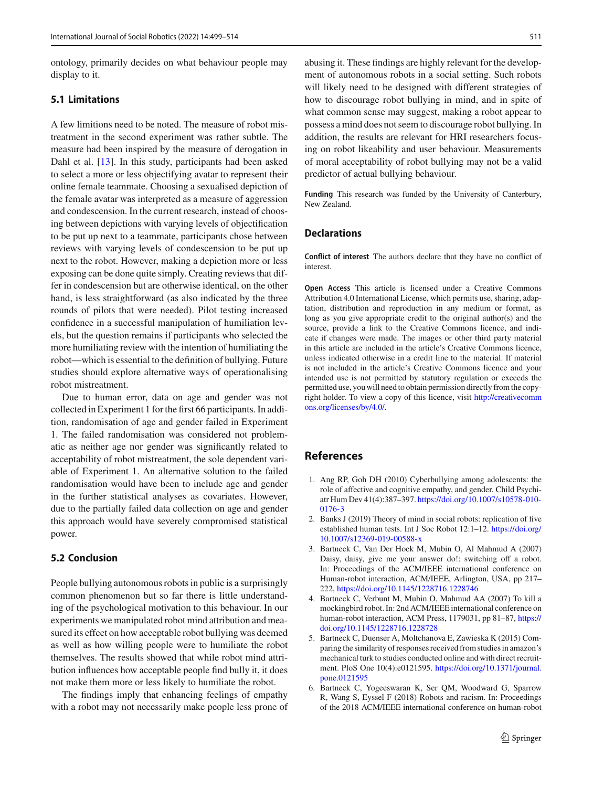ontology, primarily decides on what behaviour people may display to it.

## **5.1 Limitations**

A few limitions need to be noted. The measure of robot mistreatment in the second experiment was rather subtle. The measure had been inspired by the measure of derogation in Dahl et al. [\[13\]](#page-13-32). In this study, participants had been asked to select a more or less objectifying avatar to represent their online female teammate. Choosing a sexualised depiction of the female avatar was interpreted as a measure of aggression and condescension. In the current research, instead of choosing between depictions with varying levels of objectification to be put up next to a teammate, participants chose between reviews with varying levels of condescension to be put up next to the robot. However, making a depiction more or less exposing can be done quite simply. Creating reviews that differ in condescension but are otherwise identical, on the other hand, is less straightforward (as also indicated by the three rounds of pilots that were needed). Pilot testing increased confidence in a successful manipulation of humiliation levels, but the question remains if participants who selected the more humiliating review with the intention of humiliating the robot—which is essential to the definition of bullying. Future studies should explore alternative ways of operationalising robot mistreatment.

Due to human error, data on age and gender was not collected in Experiment 1 for the first 66 participants. In addition, randomisation of age and gender failed in Experiment 1. The failed randomisation was considered not problematic as neither age nor gender was significantly related to acceptability of robot mistreatment, the sole dependent variable of Experiment 1. An alternative solution to the failed randomisation would have been to include age and gender in the further statistical analyses as covariates. However, due to the partially failed data collection on age and gender this approach would have severely compromised statistical power.

## **5.2 Conclusion**

People bullying autonomous robots in public is a surprisingly common phenomenon but so far there is little understanding of the psychological motivation to this behaviour. In our experiments we manipulated robot mind attribution and measured its effect on how acceptable robot bullying was deemed as well as how willing people were to humiliate the robot themselves. The results showed that while robot mind attribution influences how acceptable people find bully it, it does not make them more or less likely to humiliate the robot.

The findings imply that enhancing feelings of empathy with a robot may not necessarily make people less prone of abusing it. These findings are highly relevant for the development of autonomous robots in a social setting. Such robots will likely need to be designed with different strategies of how to discourage robot bullying in mind, and in spite of what common sense may suggest, making a robot appear to possess a mind does not seem to discourage robot bullying. In addition, the results are relevant for HRI researchers focusing on robot likeability and user behaviour. Measurements of moral acceptability of robot bullying may not be a valid predictor of actual bullying behaviour.

**Funding** This research was funded by the University of Canterbury, New Zealand.

## **Declarations**

**Conflict of interest** The authors declare that they have no conflict of interest.

**Open Access** This article is licensed under a Creative Commons Attribution 4.0 International License, which permits use, sharing, adaptation, distribution and reproduction in any medium or format, as long as you give appropriate credit to the original author(s) and the source, provide a link to the Creative Commons licence, and indicate if changes were made. The images or other third party material in this article are included in the article's Creative Commons licence, unless indicated otherwise in a credit line to the material. If material is not included in the article's Creative Commons licence and your intended use is not permitted by statutory regulation or exceeds the permitted use, you will need to obtain permission directly from the copyright holder. To view a copy of this licence, visit [http://creativecomm](http://creativecommons.org/licenses/by/4.0/) [ons.org/licenses/by/4.0/.](http://creativecommons.org/licenses/by/4.0/)

# **References**

- <span id="page-12-1"></span>1. Ang RP, Goh DH (2010) Cyberbullying among adolescents: the role of affective and cognitive empathy, and gender. Child Psychiatr Hum Dev 41(4):387–397. [https://doi.org/10.1007/s10578-010-](https://doi.org/10.1007/s10578-010-0176-3) [0176-3](https://doi.org/10.1007/s10578-010-0176-3)
- <span id="page-12-3"></span>2. Banks J (2019) Theory of mind in social robots: replication of five established human tests. Int J Soc Robot 12:1–12. [https://doi.org/](https://doi.org/10.1007/s12369-019-00588-x) [10.1007/s12369-019-00588-x](https://doi.org/10.1007/s12369-019-00588-x)
- <span id="page-12-2"></span>3. Bartneck C, Van Der Hoek M, Mubin O, Al Mahmud A (2007) Daisy, daisy, give me your answer do!: switching off a robot. In: Proceedings of the ACM/IEEE international conference on Human-robot interaction, ACM/IEEE, Arlington, USA, pp 217– 222, <https://doi.org/10.1145/1228716.1228746>
- <span id="page-12-5"></span>4. Bartneck C, Verbunt M, Mubin O, Mahmud AA (2007) To kill a mockingbird robot. In: 2nd ACM/IEEE international conference on human-robot interaction, ACM Press, 1179031, pp 81-87, [https://](https://doi.org/10.1145/1228716.1228728) [doi.org/10.1145/1228716.1228728](https://doi.org/10.1145/1228716.1228728)
- <span id="page-12-4"></span>5. Bartneck C, Duenser A, Moltchanova E, Zawieska K (2015) Comparing the similarity of responses received from studies in amazon's mechanical turk to studies conducted online and with direct recruitment. PloS One 10(4):e0121595. [https://doi.org/10.1371/journal.](https://doi.org/10.1371/journal.pone.0121595) [pone.0121595](https://doi.org/10.1371/journal.pone.0121595)
- <span id="page-12-0"></span>6. Bartneck C, Yogeeswaran K, Ser QM, Woodward G, Sparrow R, Wang S, Eyssel F (2018) Robots and racism. In: Proceedings of the 2018 ACM/IEEE international conference on human-robot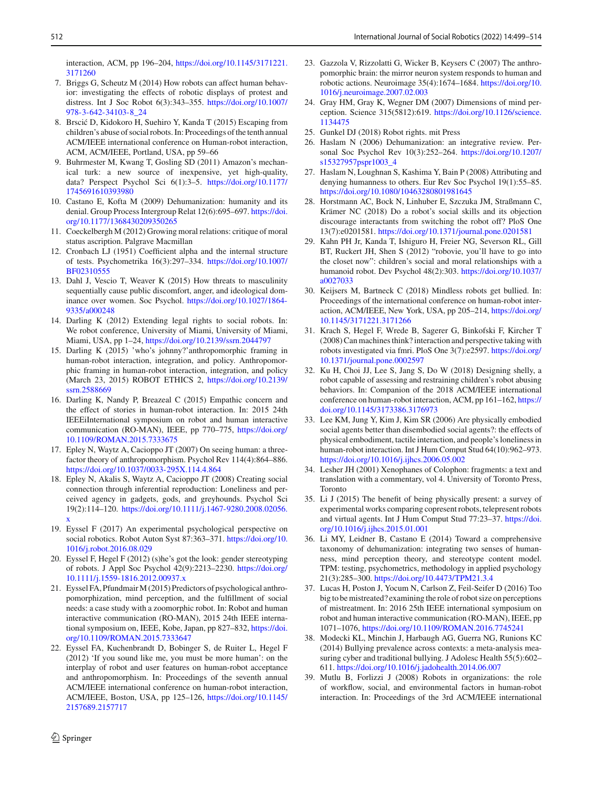interaction, ACM, pp 196–204, [https://doi.org/10.1145/3171221.](https://doi.org/10.1145/3171221.3171260) [3171260](https://doi.org/10.1145/3171221.3171260)

- <span id="page-13-20"></span>7. Briggs G, Scheutz M (2014) How robots can affect human behavior: investigating the effects of robotic displays of protest and distress. Int J Soc Robot 6(3):343–355. [https://doi.org/10.1007/](https://doi.org/10.1007/978-3-642-34103-8_24) [978-3-642-34103-8\\_24](https://doi.org/10.1007/978-3-642-34103-8_24)
- <span id="page-13-6"></span>8. Brscić D, Kidokoro H, Suehiro Y, Kanda T (2015) Escaping from children's abuse of social robots. In: Proceedings of the tenth annual ACM/IEEE international conference on Human-robot interaction, ACM, ACM/IEEE, Portland, USA, pp 59–66
- <span id="page-13-24"></span>9. Buhrmester M, Kwang T, Gosling SD (2011) Amazon's mechanical turk: a new source of inexpensive, yet high-quality, data? Perspect Psychol Sci 6(1):3–5. [https://doi.org/10.1177/](https://doi.org/10.1177/1745691610393980) [1745691610393980](https://doi.org/10.1177/1745691610393980)
- <span id="page-13-16"></span>10. Castano E, Kofta M (2009) Dehumanization: humanity and its denial. Group Process Intergroup Relat 12(6):695–697. [https://doi.](https://doi.org/10.1177/1368430209350265) [org/10.1177/1368430209350265](https://doi.org/10.1177/1368430209350265)
- <span id="page-13-30"></span>11. Coeckelbergh M (2012) Growing moral relations: critique of moral status ascription. Palgrave Macmillan
- <span id="page-13-25"></span>12. Cronbach LJ (1951) Coefficient alpha and the internal structure of tests. Psychometrika 16(3):297–334. [https://doi.org/10.1007/](https://doi.org/10.1007/BF02310555) [BF02310555](https://doi.org/10.1007/BF02310555)
- <span id="page-13-32"></span>13. Dahl J, Vescio T, Weaver K (2015) How threats to masculinity sequentially cause public discomfort, anger, and ideological dominance over women. Soc Psychol. [https://doi.org/10.1027/1864-](https://doi.org/10.1027/1864-9335/a000248) [9335/a000248](https://doi.org/10.1027/1864-9335/a000248)
- <span id="page-13-0"></span>14. Darling K (2012) Extending legal rights to social robots. In: We robot conference, University of Miami, University of Miami, Miami, USA, pp 1–24, <https://doi.org/10.2139/ssrn.2044797>
- <span id="page-13-19"></span>15. Darling K (2015) 'who's johnny?'anthropomorphic framing in human-robot interaction, integration, and policy. Anthropomorphic framing in human-robot interaction, integration, and policy (March 23, 2015) ROBOT ETHICS 2, [https://doi.org/10.2139/](https://doi.org/10.2139/ssrn.2588669) [ssrn.2588669](https://doi.org/10.2139/ssrn.2588669)
- <span id="page-13-18"></span>16. Darling K, Nandy P, Breazeal C (2015) Empathic concern and the effect of stories in human-robot interaction. In: 2015 24th IEEEiInternational symposium on robot and human interactive communication (RO-MAN), IEEE, pp 770–775, [https://doi.org/](https://doi.org/10.1109/ROMAN.2015.7333675) [10.1109/ROMAN.2015.7333675](https://doi.org/10.1109/ROMAN.2015.7333675)
- <span id="page-13-3"></span>17. Epley N, Waytz A, Cacioppo JT (2007) On seeing human: a threefactor theory of anthropomorphism. Psychol Rev 114(4):864–886. <https://doi.org/10.1037/0033-295X.114.4.864>
- <span id="page-13-11"></span>18. Epley N, Akalis S, Waytz A, Cacioppo JT (2008) Creating social connection through inferential reproduction: Loneliness and perceived agency in gadgets, gods, and greyhounds. Psychol Sci 19(2):114–120. [https://doi.org/10.1111/j.1467-9280.2008.02056.](https://doi.org/10.1111/j.1467-9280.2008.02056.x) [x](https://doi.org/10.1111/j.1467-9280.2008.02056.x)
- <span id="page-13-10"></span>19. Eyssel F (2017) An experimental psychological perspective on social robotics. Robot Auton Syst 87:363–371. [https://doi.org/10.](https://doi.org/10.1016/j.robot.2016.08.029) [1016/j.robot.2016.08.029](https://doi.org/10.1016/j.robot.2016.08.029)
- <span id="page-13-1"></span>20. Eyssel F, Hegel F (2012) (s)he's got the look: gender stereotyping of robots. J Appl Soc Psychol 42(9):2213–2230. [https://doi.org/](https://doi.org/10.1111/j.1559-1816.2012.00937.x) [10.1111/j.1559-1816.2012.00937.x](https://doi.org/10.1111/j.1559-1816.2012.00937.x)
- <span id="page-13-4"></span>21. Eyssel FA, Pfundmair M (2015) Predictors of psychological anthropomorphization, mind perception, and the fulfillment of social needs: a case study with a zoomorphic robot. In: Robot and human interactive communication (RO-MAN), 2015 24th IEEE international symposium on, IEEE, Kobe, Japan, pp 827–832, [https://doi.](https://doi.org/10.1109/ROMAN.2015.7333647) [org/10.1109/ROMAN.2015.7333647](https://doi.org/10.1109/ROMAN.2015.7333647)
- <span id="page-13-13"></span>22. Eyssel FA, Kuchenbrandt D, Bobinger S, de Ruiter L, Hegel F (2012) 'If you sound like me, you must be more human': on the interplay of robot and user features on human-robot acceptance and anthropomorphism. In: Proceedings of the seventh annual ACM/IEEE international conference on human-robot interaction, ACM/IEEE, Boston, USA, pp 125–126, [https://doi.org/10.1145/](https://doi.org/10.1145/2157689.2157717) [2157689.2157717](https://doi.org/10.1145/2157689.2157717)
- <span id="page-13-22"></span>23. Gazzola V, Rizzolatti G, Wicker B, Keysers C (2007) The anthropomorphic brain: the mirror neuron system responds to human and robotic actions. Neuroimage 35(4):1674–1684. [https://doi.org/10.](https://doi.org/10.1016/j.neuroimage.2007.02.003) [1016/j.neuroimage.2007.02.003](https://doi.org/10.1016/j.neuroimage.2007.02.003)
- <span id="page-13-14"></span>24. Gray HM, Gray K, Wegner DM (2007) Dimensions of mind perception. Science 315(5812):619. [https://doi.org/10.1126/science.](https://doi.org/10.1126/science.1134475) [1134475](https://doi.org/10.1126/science.1134475)
- <span id="page-13-31"></span>25. Gunkel DJ (2018) Robot rights. mit Press
- <span id="page-13-15"></span>26. Haslam N (2006) Dehumanization: an integrative review. Personal Soc Psychol Rev 10(3):252–264. [https://doi.org/10.1207/](https://doi.org/10.1207/s15327957pspr1003_4) [s15327957pspr1003\\_4](https://doi.org/10.1207/s15327957pspr1003_4)
- <span id="page-13-28"></span>27. Haslam N, Loughnan S, Kashima Y, Bain P (2008) Attributing and denying humanness to others. Eur Rev Soc Psychol 19(1):55–85. <https://doi.org/10.1080/10463280801981645>
- <span id="page-13-21"></span>28. Horstmann AC, Bock N, Linhuber E, Szczuka JM, Straßmann C, Krämer NC (2018) Do a robot's social skills and its objection discourage interactants from switching the robot off? PloS One 13(7):e0201581. <https://doi.org/10.1371/journal.pone.0201581>
- <span id="page-13-29"></span>29. Kahn PH Jr, Kanda T, Ishiguro H, Freier NG, Severson RL, Gill BT, Ruckert JH, Shen S (2012) "robovie, you'll have to go into the closet now": children's social and moral relationships with a humanoid robot. Dev Psychol 48(2):303. [https://doi.org/10.1037/](https://doi.org/10.1037/a0027033) [a0027033](https://doi.org/10.1037/a0027033)
- <span id="page-13-7"></span>30. Keijsers M, Bartneck C (2018) Mindless robots get bullied. In: Proceedings of the international conference on human-robot interaction, ACM/IEEE, New York, USA, pp 205–214, [https://doi.org/](https://doi.org/10.1145/3171221.3171266) [10.1145/3171221.3171266](https://doi.org/10.1145/3171221.3171266)
- <span id="page-13-23"></span>31. Krach S, Hegel F, Wrede B, Sagerer G, Binkofski F, Kircher T (2008) Can machines think? interaction and perspective taking with robots investigated via fmri. PloS One 3(7):e2597. [https://doi.org/](https://doi.org/10.1371/journal.pone.0002597) [10.1371/journal.pone.0002597](https://doi.org/10.1371/journal.pone.0002597)
- <span id="page-13-8"></span>32. Ku H, Choi JJ, Lee S, Jang S, Do W (2018) Designing shelly, a robot capable of assessing and restraining children's robot abusing behaviors. In: Companion of the 2018 ACM/IEEE international conference on human-robot interaction, ACM, pp 161–162, [https://](https://doi.org/10.1145/3173386.3176973) [doi.org/10.1145/3173386.3176973](https://doi.org/10.1145/3173386.3176973)
- <span id="page-13-26"></span>33. Lee KM, Jung Y, Kim J, Kim SR (2006) Are physically embodied social agents better than disembodied social agents?: the effects of physical embodiment, tactile interaction, and people's loneliness in human-robot interaction. Int J Hum Comput Stud 64(10):962–973. <https://doi.org/10.1016/j.ijhcs.2006.05.002>
- <span id="page-13-12"></span>34. Lesher JH (2001) Xenophanes of Colophon: fragments: a text and translation with a commentary, vol 4. University of Toronto Press, Toronto
- <span id="page-13-27"></span>35. Li J (2015) The benefit of being physically present: a survey of experimental works comparing copresent robots, telepresent robots and virtual agents. Int J Hum Comput Stud 77:23–37. [https://doi.](https://doi.org/10.1016/j.ijhcs.2015.01.001) [org/10.1016/j.ijhcs.2015.01.001](https://doi.org/10.1016/j.ijhcs.2015.01.001)
- <span id="page-13-17"></span>36. Li MY, Leidner B, Castano E (2014) Toward a comprehensive taxonomy of dehumanization: integrating two senses of humanness, mind perception theory, and stereotype content model. TPM: testing, psychometrics, methodology in applied psychology 21(3):285–300. <https://doi.org/10.4473/TPM21.3.4>
- <span id="page-13-2"></span>37. Lucas H, Poston J, Yocum N, Carlson Z, Feil-Seifer D (2016) Too big to be mistreated? examining the role of robot size on perceptions of mistreatment. In: 2016 25th IEEE international symposium on robot and human interactive communication (RO-MAN), IEEE, pp 1071–1076, <https://doi.org/10.1109/ROMAN.2016.7745241>
- <span id="page-13-9"></span>38. Modecki KL, Minchin J, Harbaugh AG, Guerra NG, Runions KC (2014) Bullying prevalence across contexts: a meta-analysis measuring cyber and traditional bullying. J Adolesc Health 55(5):602– 611. <https://doi.org/10.1016/j.jadohealth.2014.06.007>
- <span id="page-13-5"></span>39. Mutlu B, Forlizzi J (2008) Robots in organizations: the role of workflow, social, and environmental factors in human-robot interaction. In: Proceedings of the 3rd ACM/IEEE international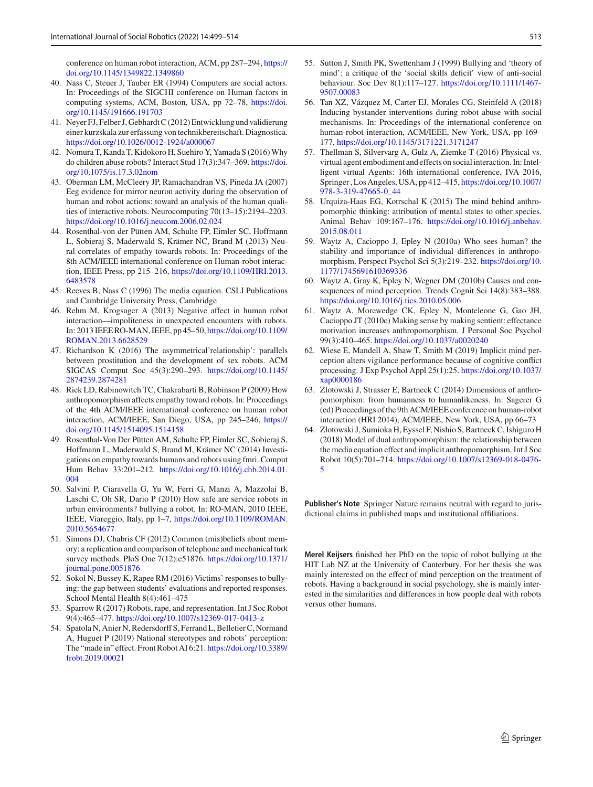conference on human robot interaction, ACM, pp 287–294, [https://](https://doi.org/10.1145/1349822.1349860) [doi.org/10.1145/1349822.1349860](https://doi.org/10.1145/1349822.1349860)

- <span id="page-14-23"></span>40. Nass C, Steuer J, Tauber ER (1994) Computers are social actors. In: Proceedings of the SIGCHI conference on Human factors in computing systems, ACM, Boston, USA, pp 72–78, [https://doi.](https://doi.org/10.1145/191666.191703) [org/10.1145/191666.191703](https://doi.org/10.1145/191666.191703)
- <span id="page-14-21"></span>41. Neyer FJ, Felber J, Gebhardt C (2012) Entwicklung und validierung einer kurzskala zur erfassung von technikbereitschaft. Diagnostica. <https://doi.org/10.1026/0012-1924/a000067>
- <span id="page-14-4"></span>42. Nomura T, Kanda T, Kidokoro H, Suehiro Y, Yamada S (2016) Why do children abuse robots? Interact Stud 17(3):347–369. [https://doi.](https://doi.org/10.1075/is.17.3.02nom) [org/10.1075/is.17.3.02nom](https://doi.org/10.1075/is.17.3.02nom)
- <span id="page-14-15"></span>43. Oberman LM, McCleery JP, Ramachandran VS, Pineda JA (2007) Eeg evidence for mirror neuron activity during the observation of human and robot actions: toward an analysis of the human qualities of interactive robots. Neurocomputing 70(13–15):2194–2203. <https://doi.org/10.1016/j.neucom.2006.02.024>
- <span id="page-14-16"></span>44. Rosenthal-von der Pütten AM, Schulte FP, Eimler SC, Hoffmann L, Sobieraj S, Maderwald S, Krämer NC, Brand M (2013) Neural correlates of empathy towards robots. In: Proceedings of the 8th ACM/IEEE international conference on Human-robot interaction, IEEE Press, pp 215–216, [https://doi.org/10.1109/HRI.2013.](https://doi.org/10.1109/HRI.2013.6483578) [6483578](https://doi.org/10.1109/HRI.2013.6483578)
- <span id="page-14-22"></span>45. Reeves B, Nass C (1996) The media equation. CSLI Publications and Cambridge University Press, Cambridge
- <span id="page-14-0"></span>46. Rehm M, Krogsager A (2013) Negative affect in human robot interaction—impoliteness in unexpected encounters with robots. In: 2013 IEEE RO-MAN, IEEE, pp 45–50, [https://doi.org/10.1109/](https://doi.org/10.1109/ROMAN.2013.6628529) [ROMAN.2013.6628529](https://doi.org/10.1109/ROMAN.2013.6628529)
- <span id="page-14-9"></span>47. Richardson K (2016) The asymmetrical'relationship': parallels between prostitution and the development of sex robots. ACM SIGCAS Comput Soc 45(3):290–293. [https://doi.org/10.1145/](https://doi.org/10.1145/2874239.2874281) [2874239.2874281](https://doi.org/10.1145/2874239.2874281)
- <span id="page-14-12"></span>48. Riek LD, Rabinowitch TC, Chakrabarti B, Robinson P (2009) How anthropomorphism affects empathy toward robots. In: Proceedings of the 4th ACM/IEEE international conference on human robot interaction, ACM/IEEE, San Diego, USA, pp 245–246, [https://](https://doi.org/10.1145/1514095.1514158) [doi.org/10.1145/1514095.1514158](https://doi.org/10.1145/1514095.1514158)
- <span id="page-14-18"></span>49. Rosenthal-Von Der Pütten AM, Schulte FP, Eimler SC, Sobieraj S, Hoffmann L, Maderwald S, Brand M, Krämer NC (2014) Investigations on empathy towards humans and robots using fmri. Comput Hum Behav 33:201–212. [https://doi.org/10.1016/j.chb.2014.01.](https://doi.org/10.1016/j.chb.2014.01.004) [004](https://doi.org/10.1016/j.chb.2014.01.004)
- <span id="page-14-3"></span>50. Salvini P, Ciaravella G, Yu W, Ferri G, Manzi A, Mazzolai B, Laschi C, Oh SR, Dario P (2010) How safe are service robots in urban environments? bullying a robot. In: RO-MAN, 2010 IEEE, IEEE, Viareggio, Italy, pp 1–7, [https://doi.org/10.1109/ROMAN.](https://doi.org/10.1109/ROMAN.2010.5654677) [2010.5654677](https://doi.org/10.1109/ROMAN.2010.5654677)
- <span id="page-14-19"></span>51. Simons DJ, Chabris CF (2012) Common (mis)beliefs about memory: a replication and comparison of telephone and mechanical turk survey methods. PloS One 7(12):e51876. [https://doi.org/10.1371/](https://doi.org/10.1371/journal.pone.0051876) [journal.pone.0051876](https://doi.org/10.1371/journal.pone.0051876)
- <span id="page-14-5"></span>52. Sokol N, Bussey K, Rapee RM (2016) Victims' responses to bullying: the gap between students' evaluations and reported responses. School Mental Health 8(4):461–475
- <span id="page-14-10"></span>53. Sparrow R (2017) Robots, rape, and representation. Int J Soc Robot 9(4):465–477. <https://doi.org/10.1007/s12369-017-0413-z>
- <span id="page-14-1"></span>54. Spatola N, Anier N, Redersdorff S, Ferrand L, Belletier C, Normand A, Huguet P (2019) National stereotypes and robots' perception: The "made in" effect. Front Robot AI 6:21. [https://doi.org/10.3389/](https://doi.org/10.3389/frobt.2019.00021) [frobt.2019.00021](https://doi.org/10.3389/frobt.2019.00021)
- <span id="page-14-6"></span>55. Sutton J, Smith PK, Swettenham J (1999) Bullying and 'theory of mind': a critique of the 'social skills deficit' view of anti-social behaviour. Soc Dev 8(1):117–127. [https://doi.org/10.1111/1467-](https://doi.org/10.1111/1467-9507.00083) [9507.00083](https://doi.org/10.1111/1467-9507.00083)
- <span id="page-14-2"></span>56. Tan XZ, Vázquez M, Carter EJ, Morales CG, Steinfeld A (2018) Inducing bystander interventions during robot abuse with social mechanisms. In: Proceedings of the international conference on human-robot interaction, ACM/IEEE, New York, USA, pp 169– 177, <https://doi.org/10.1145/3171221.3171247>
- <span id="page-14-24"></span>57. Thellman S, Silvervarg A, Gulz A, Ziemke T (2016) Physical vs. virtual agent embodiment and effects on social interaction. In: Intelligent virtual Agents: 16th international conference, IVA 2016, Springer , Los Angeles, USA, pp 412–415, [https://doi.org/10.1007/](https://doi.org/10.1007/978-3-319-47665-0_44) [978-3-319-47665-0\\_44](https://doi.org/10.1007/978-3-319-47665-0_44)
- <span id="page-14-7"></span>58. Urquiza-Haas EG, Kotrschal K (2015) The mind behind anthropomorphic thinking: attribution of mental states to other species. Animal Behav 109:167–176. [https://doi.org/10.1016/j.anbehav.](https://doi.org/10.1016/j.anbehav.2015.08.011) [2015.08.011](https://doi.org/10.1016/j.anbehav.2015.08.011)
- <span id="page-14-20"></span>59. Waytz A, Cacioppo J, Epley N (2010a) Who sees human? the stability and importance of individual differences in anthropomorphism. Perspect Psychol Sci 5(3):219–232. [https://doi.org/10.](https://doi.org/10.1177/1745691610369336) [1177/1745691610369336](https://doi.org/10.1177/1745691610369336)
- <span id="page-14-14"></span>60. Waytz A, Gray K, Epley N, Wegner DM (2010b) Causes and consequences of mind perception. Trends Cognit Sci 14(8):383–388. <https://doi.org/10.1016/j.tics.2010.05.006>
- <span id="page-14-11"></span>61. Waytz A, Morewedge CK, Epley N, Monteleone G, Gao JH, Cacioppo JT (2010c) Making sense by making sentient: effectance motivation increases anthropomorphism. J Personal Soc Psychol 99(3):410–465. <https://doi.org/10.1037/a0020240>
- <span id="page-14-13"></span>62. Wiese E, Mandell A, Shaw T, Smith M (2019) Implicit mind perception alters vigilance performance because of cognitive conflict processing. J Exp Psychol Appl 25(1):25. [https://doi.org/10.1037/](https://doi.org/10.1037/xap0000186) [xap0000186](https://doi.org/10.1037/xap0000186)
- <span id="page-14-17"></span>63. Zlotowski J, Strasser E, Bartneck C (2014) Dimensions of anthropomorphism: from humanness to humanlikeness. In: Sagerer G (ed) Proceedings of the 9th ACM/IEEE conference on human-robot interaction (HRI 2014), ACM/IEEE, New York, USA, pp 66–73
- <span id="page-14-8"></span>64. Złotowski J, Sumioka H, Eyssel F, Nishio S, Bartneck C, Ishiguro H (2018) Model of dual anthropomorphism: the relationship between the media equation effect and implicit anthropomorphism. Int J Soc Robot 10(5):701–714. [https://doi.org/10.1007/s12369-018-0476-](https://doi.org/10.1007/s12369-018-0476-5) [5](https://doi.org/10.1007/s12369-018-0476-5)

**Publisher's Note** Springer Nature remains neutral with regard to jurisdictional claims in published maps and institutional affiliations.

**Merel Keijsers** finished her PhD on the topic of robot bullying at the HIT Lab NZ at the University of Canterbury. For her thesis she was mainly interested on the effect of mind perception on the treatment of robots. Having a background in social psychology, she is mainly interested in the similarities and differences in how people deal with robots versus other humans.